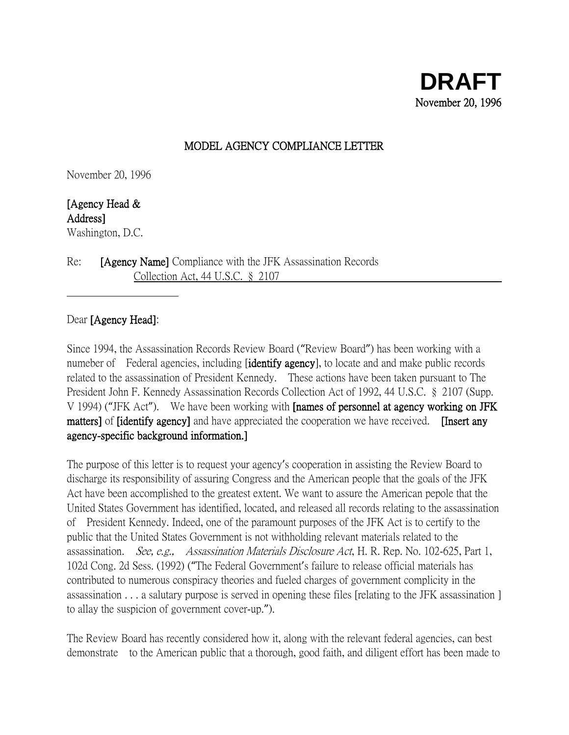## MODEL AGENCY COMPLIANCE LETTER

November 20, 1996

[Agency Head & Address] Washington, D.C.

Re: [Agency Name] Compliance with the JFK Assassination Records Collection Act, 44 U.S.C. § 2107

## Dear [Agency Head]:

Since 1994, the Assassination Records Review Board ("Review Board") has been working with a numeber of Federal agencies, including **[identify agency**], to locate and and make public records related to the assassination of President Kennedy. These actions have been taken pursuant to The President John F. Kennedy Assassination Records Collection Act of 1992, 44 U.S.C. § 2107 (Supp. V 1994) ("JFK Act"). We have been working with [names of personnel at agency working on JFK matters] of *[identify agency]* and have appreciated the cooperation we have received. **[Insert any** agency-specific background information.]

The purpose of this letter is to request your agency's cooperation in assisting the Review Board to discharge its responsibility of assuring Congress and the American people that the goals of the JFK Act have been accomplished to the greatest extent. We want to assure the American pepole that the United States Government has identified, located, and released all records relating to the assassination of President Kennedy. Indeed, one of the paramount purposes of the JFK Act is to certify to the public that the United States Government is not withholding relevant materials related to the assassination. See, e.g., Assassination Materials Disclosure Act, H. R. Rep. No. 102-625, Part 1, 102d Cong. 2d Sess. (1992) ("The Federal Government's failure to release official materials has contributed to numerous conspiracy theories and fueled charges of government complicity in the assassination . . . a salutary purpose is served in opening these files [relating to the JFK assassination ] to allay the suspicion of government cover-up.").

The Review Board has recently considered how it, along with the relevant federal agencies, can best demonstrate to the American public that a thorough, good faith, and diligent effort has been made to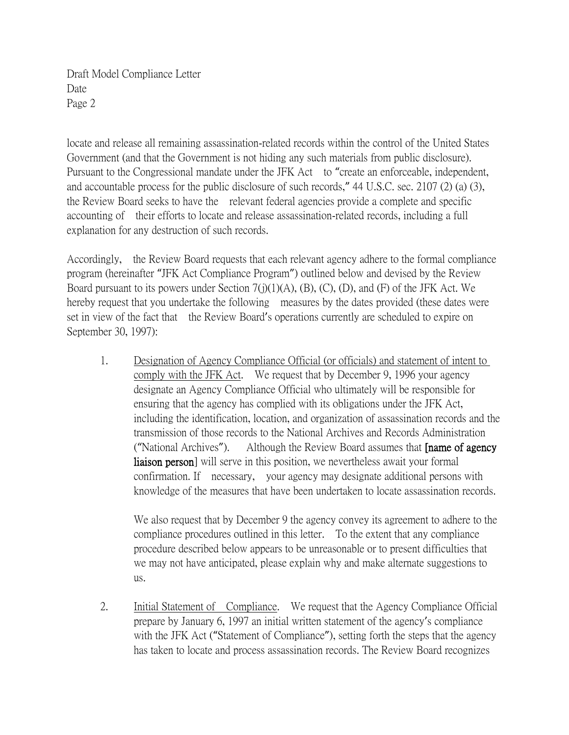locate and release all remaining assassination-related records within the control of the United States Government (and that the Government is not hiding any such materials from public disclosure). Pursuant to the Congressional mandate under the JFK Act to "create an enforceable, independent, and accountable process for the public disclosure of such records," 44 U.S.C. sec. 2107 (2) (a) (3), the Review Board seeks to have the relevant federal agencies provide a complete and specific accounting of their efforts to locate and release assassination-related records, including a full explanation for any destruction of such records.

Accordingly, the Review Board requests that each relevant agency adhere to the formal compliance program (hereinafter "JFK Act Compliance Program") outlined below and devised by the Review Board pursuant to its powers under Section  $7(j)(1)(A)$ ,  $(B)$ ,  $(C)$ ,  $(D)$ , and  $(F)$  of the JFK Act. We hereby request that you undertake the following measures by the dates provided (these dates were set in view of the fact that the Review Board's operations currently are scheduled to expire on September 30, 1997):

1. Designation of Agency Compliance Official (or officials) and statement of intent to comply with the JFK Act. We request that by December 9, 1996 your agency designate an Agency Compliance Official who ultimately will be responsible for ensuring that the agency has complied with its obligations under the JFK Act, including the identification, location, and organization of assassination records and the transmission of those records to the National Archives and Records Administration ("National Archives"). Although the Review Board assumes that [name of agency liaison person] will serve in this position, we nevertheless await your formal confirmation. If necessary, your agency may designate additional persons with knowledge of the measures that have been undertaken to locate assassination records.

We also request that by December 9 the agency convey its agreement to adhere to the compliance procedures outlined in this letter. To the extent that any compliance procedure described below appears to be unreasonable or to present difficulties that we may not have anticipated, please explain why and make alternate suggestions to us.

2. Initial Statement of Compliance. We request that the Agency Compliance Official prepare by January 6, 1997 an initial written statement of the agency's compliance with the JFK Act ("Statement of Compliance"), setting forth the steps that the agency has taken to locate and process assassination records. The Review Board recognizes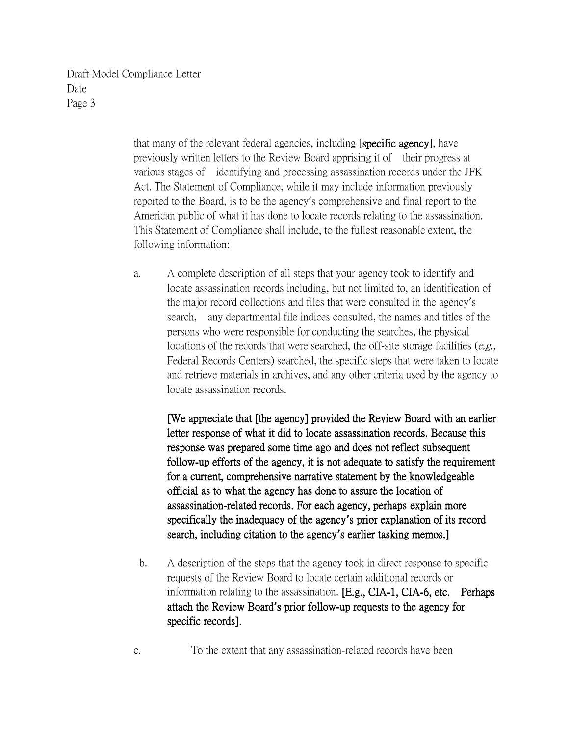> that many of the relevant federal agencies, including [specific agency], have previously written letters to the Review Board apprising it of their progress at various stages of identifying and processing assassination records under the JFK Act. The Statement of Compliance, while it may include information previously reported to the Board, is to be the agency's comprehensive and final report to the American public of what it has done to locate records relating to the assassination. This Statement of Compliance shall include, to the fullest reasonable extent, the following information:

a. A complete description of all steps that your agency took to identify and locate assassination records including, but not limited to, an identification of the major record collections and files that were consulted in the agency's search, any departmental file indices consulted, the names and titles of the persons who were responsible for conducting the searches, the physical locations of the records that were searched, the off-site storage facilities ( $e.g.,$ Federal Records Centers) searched, the specific steps that were taken to locate and retrieve materials in archives, and any other criteria used by the agency to locate assassination records.

[We appreciate that [the agency] provided the Review Board with an earlier letter response of what it did to locate assassination records. Because this response was prepared some time ago and does not reflect subsequent follow-up efforts of the agency, it is not adequate to satisfy the requirement for a current, comprehensive narrative statement by the knowledgeable official as to what the agency has done to assure the location of assassination-related records. For each agency, perhaps explain more specifically the inadequacy of the agency**'**s prior explanation of its record search, including citation to the agency**'**s earlier tasking memos.]

- b. A description of the steps that the agency took in direct response to specific requests of the Review Board to locate certain additional records or information relating to the assassination. [E.g., CIA-1, CIA-6, etc. Perhaps attach the Review Board**'**s prior follow-up requests to the agency for specific records].
- c. To the extent that any assassination-related records have been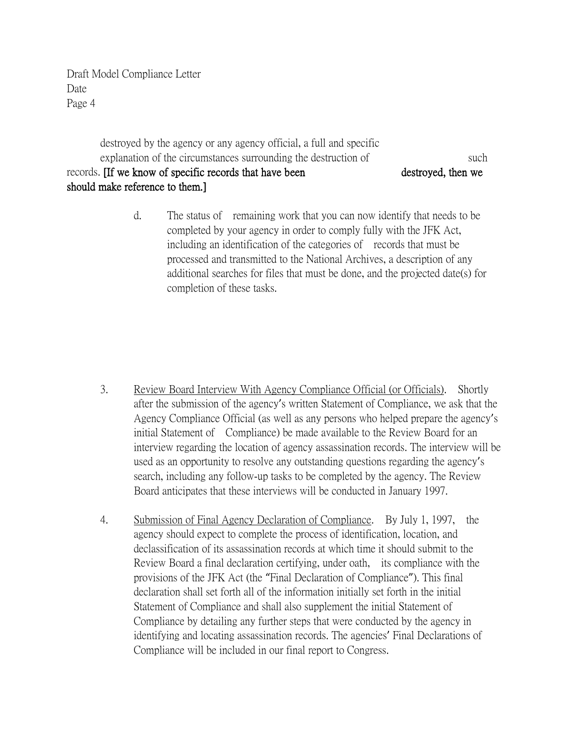destroyed by the agency or any agency official, a full and specific explanation of the circumstances surrounding the destruction of such such records. If we know of specific records that have been destroyed, then we should make reference to them.]

> d. The status of remaining work that you can now identify that needs to be completed by your agency in order to comply fully with the JFK Act, including an identification of the categories of records that must be processed and transmitted to the National Archives, a description of any additional searches for files that must be done, and the projected date(s) for completion of these tasks.

- 3. Review Board Interview With Agency Compliance Official (or Officials). Shortly after the submission of the agency's written Statement of Compliance, we ask that the Agency Compliance Official (as well as any persons who helped prepare the agency's initial Statement of Compliance) be made available to the Review Board for an interview regarding the location of agency assassination records. The interview will be used as an opportunity to resolve any outstanding questions regarding the agency's search, including any follow-up tasks to be completed by the agency. The Review Board anticipates that these interviews will be conducted in January 1997.
- 4. Submission of Final Agency Declaration of Compliance. By July 1, 1997, the agency should expect to complete the process of identification, location, and declassification of its assassination records at which time it should submit to the Review Board a final declaration certifying, under oath, its compliance with the provisions of the JFK Act (the "Final Declaration of Compliance"). This final declaration shall set forth all of the information initially set forth in the initial Statement of Compliance and shall also supplement the initial Statement of Compliance by detailing any further steps that were conducted by the agency in identifying and locating assassination records. The agencies' Final Declarations of Compliance will be included in our final report to Congress.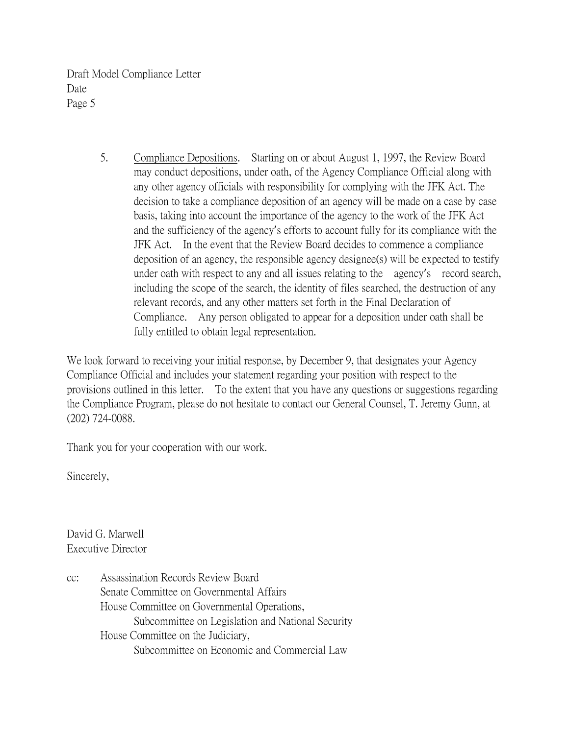> 5. Compliance Depositions. Starting on or about August 1, 1997, the Review Board may conduct depositions, under oath, of the Agency Compliance Official along with any other agency officials with responsibility for complying with the JFK Act. The decision to take a compliance deposition of an agency will be made on a case by case basis, taking into account the importance of the agency to the work of the JFK Act and the sufficiency of the agency's efforts to account fully for its compliance with the JFK Act. In the event that the Review Board decides to commence a compliance deposition of an agency, the responsible agency designee(s) will be expected to testify under oath with respect to any and all issues relating to the agency's record search, including the scope of the search, the identity of files searched, the destruction of any relevant records, and any other matters set forth in the Final Declaration of Compliance. Any person obligated to appear for a deposition under oath shall be fully entitled to obtain legal representation.

We look forward to receiving your initial response, by December 9, that designates your Agency Compliance Official and includes your statement regarding your position with respect to the provisions outlined in this letter. To the extent that you have any questions or suggestions regarding the Compliance Program, please do not hesitate to contact our General Counsel, T. Jeremy Gunn, at (202) 724-0088.

Thank you for your cooperation with our work.

Sincerely,

David G. Marwell Executive Director

cc: Assassination Records Review Board Senate Committee on Governmental Affairs House Committee on Governmental Operations, Subcommittee on Legislation and National Security House Committee on the Judiciary, Subcommittee on Economic and Commercial Law